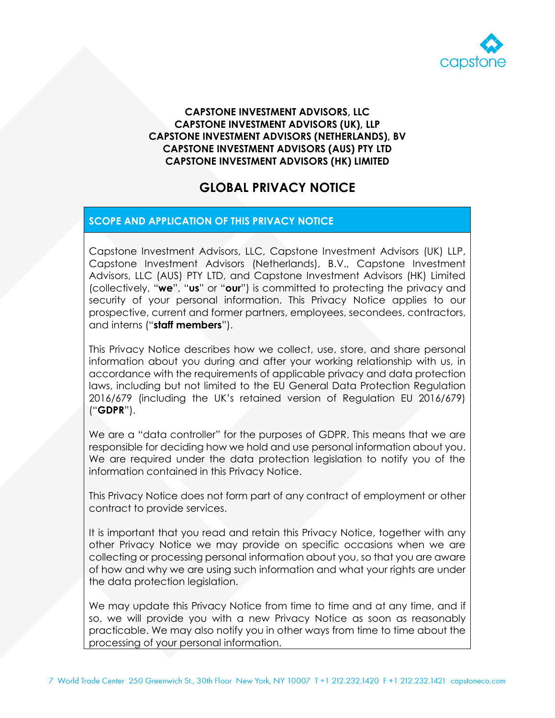

#### **CAPSTONE INVESTMENT ADVISORS, LLC CAPSTONE INVESTMENT ADVISORS (UK), LLP CAPSTONE INVESTMENT ADVISORS (NETHERLANDS), BV CAPSTONE INVESTMENT ADVISORS (AUS) PTY LTD CAPSTONE INVESTMENT ADVISORS (HK) LIMITED**

# **GLOBAL PRIVACY NOTICE**

### **SCOPE AND APPLICATION OF THIS PRIVACY NOTICE**

Capstone Investment Advisors, LLC, Capstone Investment Advisors (UK) LLP, Capstone Investment Advisors (Netherlands), B.V., Capstone Investment Advisors, LLC (AUS) PTY LTD, and Capstone Investment Advisors (HK) Limited (collectively, "**we**", "**us**" or "**our**") is committed to protecting the privacy and security of your personal information. This Privacy Notice applies to our prospective, current and former partners, employees, secondees, contractors, and interns ("**staff members**").

This Privacy Notice describes how we collect, use, store, and share personal information about you during and after your working relationship with us, in accordance with the requirements of applicable privacy and data protection laws, including but not limited to the EU General Data Protection Regulation 2016/679 (including the UK's retained version of Regulation EU 2016/679) ("**GDPR**").

We are a "data controller" for the purposes of GDPR. This means that we are responsible for deciding how we hold and use personal information about you. We are required under the data protection legislation to notify you of the information contained in this Privacy Notice.

This Privacy Notice does not form part of any contract of employment or other contract to provide services.

It is important that you read and retain this Privacy Notice, together with any other Privacy Notice we may provide on specific occasions when we are collecting or processing personal information about you, so that you are aware of how and why we are using such information and what your rights are under the data protection legislation.

We may update this Privacy Notice from time to time and at any time, and if so, we will provide you with a new Privacy Notice as soon as reasonably practicable. We may also notify you in other ways from time to time about the processing of your personal information.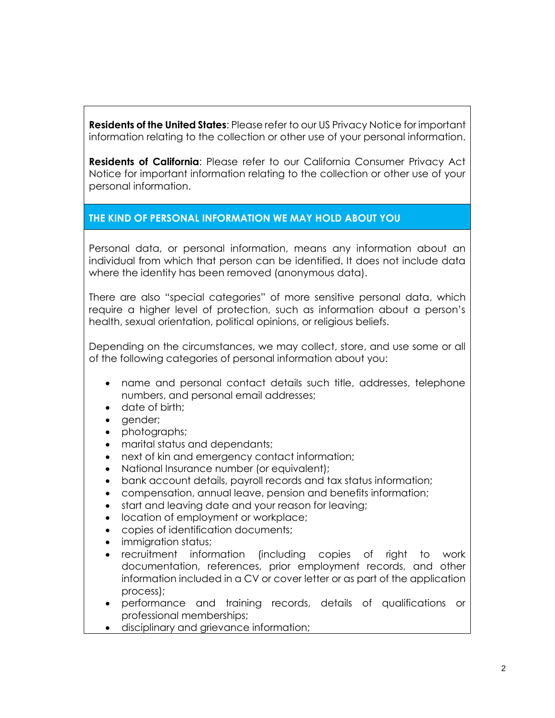**Residents of the United States**: Please refer to our US Privacy Notice for important information relating to the collection or other use of your personal information.

**Residents of California**: Please refer to our California Consumer Privacy Act Notice for important information relating to the collection or other use of your personal information.

### **THE KIND OF PERSONAL INFORMATION WE MAY HOLD ABOUT YOU**

Personal data, or personal information, means any information about an individual from which that person can be identified. It does not include data where the identity has been removed (anonymous data).

There are also "special categories" of more sensitive personal data, which require a higher level of protection, such as information about a person's health, sexual orientation, political opinions, or religious beliefs.

Depending on the circumstances, we may collect, store, and use some or all of the following categories of personal information about you:

- name and personal contact details such title, addresses, telephone numbers, and personal email addresses;
- date of birth;
- gender;
- photographs;
- marital status and dependants;
- next of kin and emergency contact information;
- National Insurance number (or equivalent);
- bank account details, payroll records and tax status information;
- compensation, annual leave, pension and benefits information;
- start and leaving date and your reason for leaving;
- location of employment or workplace;
- copies of identification documents;
- immigration status;
- recruitment information (including copies of right to work documentation, references, prior employment records, and other information included in a CV or cover letter or as part of the application process);
- performance and training records, details of qualifications or professional memberships;
- disciplinary and grievance information;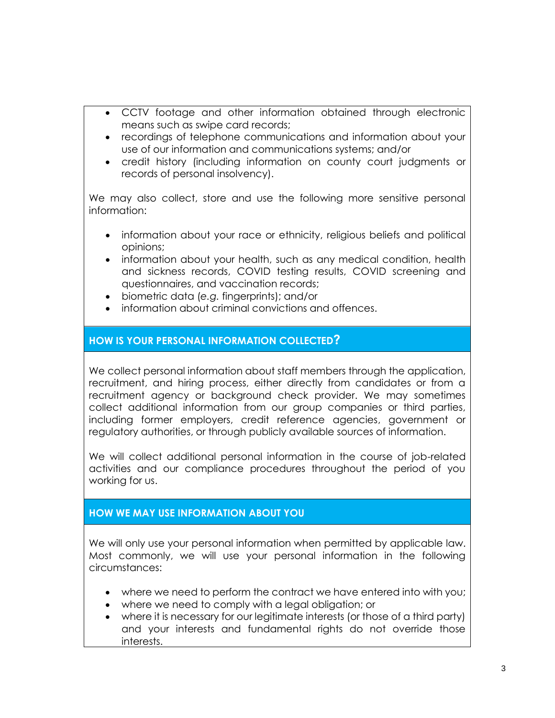- CCTV footage and other information obtained through electronic means such as swipe card records;
- recordings of telephone communications and information about your use of our information and communications systems; and/or
- credit history (including information on county court judgments or records of personal insolvency).

We may also collect, store and use the following more sensitive personal information:

- information about your race or ethnicity, religious beliefs and political opinions;
- information about your health, such as any medical condition, health and sickness records, COVID testing results, COVID screening and questionnaires, and vaccination records;
- biometric data (*e.g.* fingerprints); and/or
- information about criminal convictions and offences.

### **HOW IS YOUR PERSONAL INFORMATION COLLECTED?**

We collect personal information about staff members through the application, recruitment, and hiring process, either directly from candidates or from a recruitment agency or background check provider. We may sometimes collect additional information from our group companies or third parties, including former employers, credit reference agencies, government or regulatory authorities, or through publicly available sources of information.

We will collect additional personal information in the course of job-related activities and our compliance procedures throughout the period of you working for us.

#### **HOW WE MAY USE INFORMATION ABOUT YOU**

We will only use your personal information when permitted by applicable law. Most commonly, we will use your personal information in the following circumstances:

- where we need to perform the contract we have entered into with you;
- where we need to comply with a legal obligation; or
- where it is necessary for our legitimate interests (or those of a third party) and your interests and fundamental rights do not override those interests.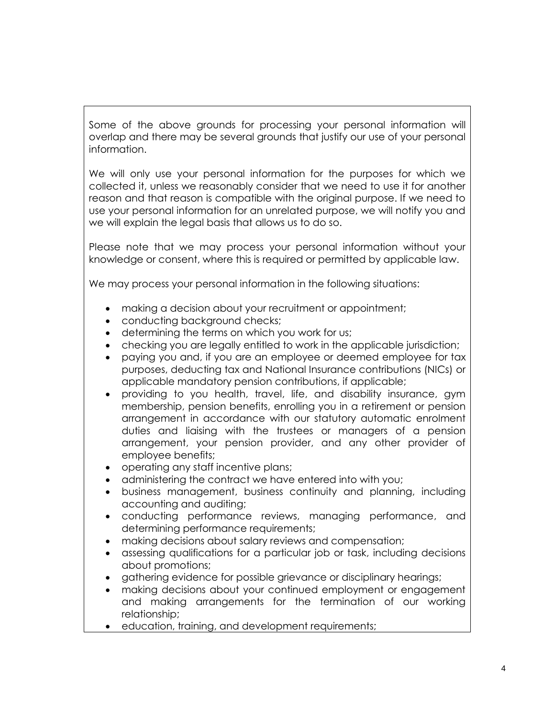Some of the above grounds for processing your personal information will overlap and there may be several grounds that justify our use of your personal information.

We will only use your personal information for the purposes for which we collected it, unless we reasonably consider that we need to use it for another reason and that reason is compatible with the original purpose. If we need to use your personal information for an unrelated purpose, we will notify you and we will explain the legal basis that allows us to do so.

Please note that we may process your personal information without your knowledge or consent, where this is required or permitted by applicable law.

We may process your personal information in the following situations:

- making a decision about your recruitment or appointment;
- conducting background checks;
- determining the terms on which you work for us;
- checking you are legally entitled to work in the applicable jurisdiction;
- paying you and, if you are an employee or deemed employee for tax purposes, deducting tax and National Insurance contributions (NICs) or applicable mandatory pension contributions, if applicable;
- providing to you health, travel, life, and disability insurance, gym membership, pension benefits, enrolling you in a retirement or pension arrangement in accordance with our statutory automatic enrolment duties and liaising with the trustees or managers of a pension arrangement, your pension provider, and any other provider of employee benefits;
- operating any staff incentive plans;
- administering the contract we have entered into with you;
- business management, business continuity and planning, including accounting and auditing;
- conducting performance reviews, managing performance, and determining performance requirements;
- making decisions about salary reviews and compensation;
- assessing qualifications for a particular job or task, including decisions about promotions;
- gathering evidence for possible grievance or disciplinary hearings;
- making decisions about your continued employment or engagement and making arrangements for the termination of our working relationship;
- education, training, and development requirements;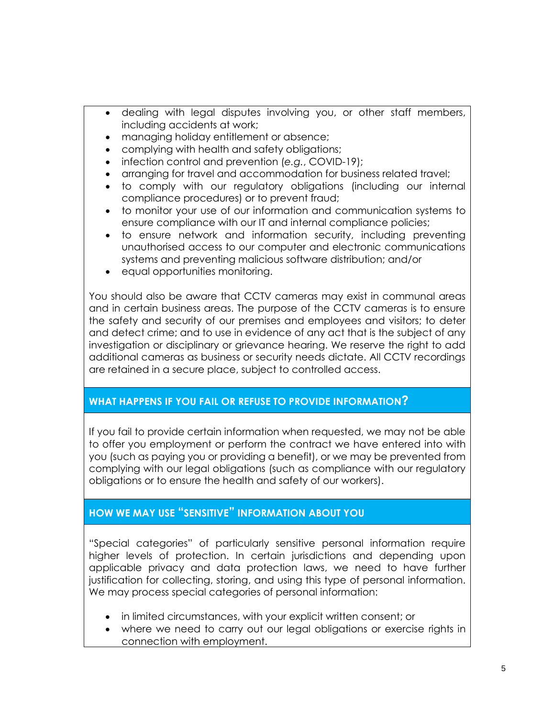- dealing with legal disputes involving you, or other staff members, including accidents at work;
- managing holiday entitlement or absence;
- complying with health and safety obligations;
- $\bullet$  infection control and prevention (e.g., COVID-19);
- arranging for travel and accommodation for business related travel;
- to comply with our regulatory obligations (including our internal compliance procedures) or to prevent fraud;
- to monitor your use of our information and communication systems to ensure compliance with our IT and internal compliance policies;
- to ensure network and information security, including preventing unauthorised access to our computer and electronic communications systems and preventing malicious software distribution; and/or
- equal opportunities monitoring.

You should also be aware that CCTV cameras may exist in communal areas and in certain business areas. The purpose of the CCTV cameras is to ensure the safety and security of our premises and employees and visitors; to deter and detect crime; and to use in evidence of any act that is the subject of any investigation or disciplinary or grievance hearing. We reserve the right to add additional cameras as business or security needs dictate. All CCTV recordings are retained in a secure place, subject to controlled access.

# **WHAT HAPPENS IF YOU FAIL OR REFUSE TO PROVIDE INFORMATION?**

If you fail to provide certain information when requested, we may not be able to offer you employment or perform the contract we have entered into with you (such as paying you or providing a benefit), or we may be prevented from complying with our legal obligations (such as compliance with our regulatory obligations or to ensure the health and safety of our workers).

# **HOW WE MAY USE "SENSITIVE" INFORMATION ABOUT YOU**

"Special categories" of particularly sensitive personal information require higher levels of protection. In certain jurisdictions and depending upon applicable privacy and data protection laws, we need to have further justification for collecting, storing, and using this type of personal information. We may process special categories of personal information:

- in limited circumstances, with your explicit written consent; or
- where we need to carry out our legal obligations or exercise rights in connection with employment.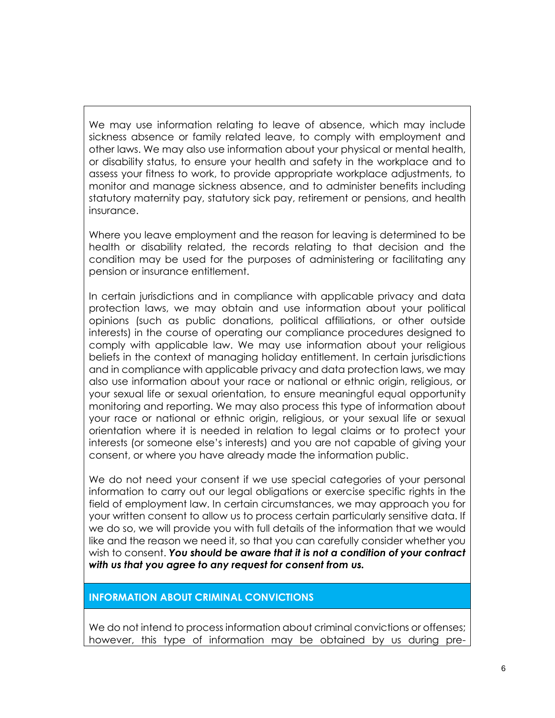We may use information relating to leave of absence, which may include sickness absence or family related leave, to comply with employment and other laws. We may also use information about your physical or mental health, or disability status, to ensure your health and safety in the workplace and to assess your fitness to work, to provide appropriate workplace adjustments, to monitor and manage sickness absence, and to administer benefits including statutory maternity pay, statutory sick pay, retirement or pensions, and health insurance.

Where you leave employment and the reason for leaving is determined to be health or disability related, the records relating to that decision and the condition may be used for the purposes of administering or facilitating any pension or insurance entitlement.

In certain jurisdictions and in compliance with applicable privacy and data protection laws, we may obtain and use information about your political opinions (such as public donations, political affiliations, or other outside interests) in the course of operating our compliance procedures designed to comply with applicable law. We may use information about your religious beliefs in the context of managing holiday entitlement. In certain jurisdictions and in compliance with applicable privacy and data protection laws, we may also use information about your race or national or ethnic origin, religious, or your sexual life or sexual orientation, to ensure meaningful equal opportunity monitoring and reporting. We may also process this type of information about your race or national or ethnic origin, religious, or your sexual life or sexual orientation where it is needed in relation to legal claims or to protect your interests (or someone else's interests) and you are not capable of giving your consent, or where you have already made the information public.

We do not need your consent if we use special categories of your personal information to carry out our legal obligations or exercise specific rights in the field of employment law. In certain circumstances, we may approach you for your written consent to allow us to process certain particularly sensitive data. If we do so, we will provide you with full details of the information that we would like and the reason we need it, so that you can carefully consider whether you wish to consent. *You should be aware that it is not a condition of your contract with us that you agree to any request for consent from us.*

#### **INFORMATION ABOUT CRIMINAL CONVICTIONS**

We do not intend to process information about criminal convictions or offenses; however, this type of information may be obtained by us during pre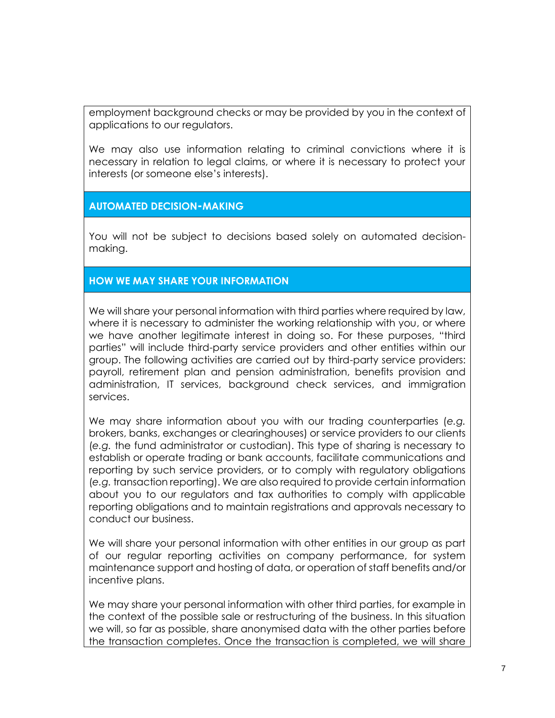employment background checks or may be provided by you in the context of applications to our regulators.

We may also use information relating to criminal convictions where it is necessary in relation to legal claims, or where it is necessary to protect your interests (or someone else's interests).

#### **AUTOMATED DECISION-MAKING**

You will not be subject to decisions based solely on automated decisionmaking.

#### **HOW WE MAY SHARE YOUR INFORMATION**

We will share your personal information with third parties where required by law, where it is necessary to administer the working relationship with you, or where we have another legitimate interest in doing so. For these purposes, "third parties" will include third-party service providers and other entities within our group. The following activities are carried out by third-party service providers: payroll, retirement plan and pension administration, benefits provision and administration, IT services, background check services, and immigration services.

We may share information about you with our trading counterparties (*e.g.* brokers, banks, exchanges or clearinghouses) or service providers to our clients (*e.g.* the fund administrator or custodian). This type of sharing is necessary to establish or operate trading or bank accounts, facilitate communications and reporting by such service providers, or to comply with regulatory obligations (*e.g.* transaction reporting). We are also required to provide certain information about you to our regulators and tax authorities to comply with applicable reporting obligations and to maintain registrations and approvals necessary to conduct our business.

We will share your personal information with other entities in our group as part of our regular reporting activities on company performance, for system maintenance support and hosting of data, or operation of staff benefits and/or incentive plans.

We may share your personal information with other third parties, for example in the context of the possible sale or restructuring of the business. In this situation we will, so far as possible, share anonymised data with the other parties before the transaction completes. Once the transaction is completed, we will share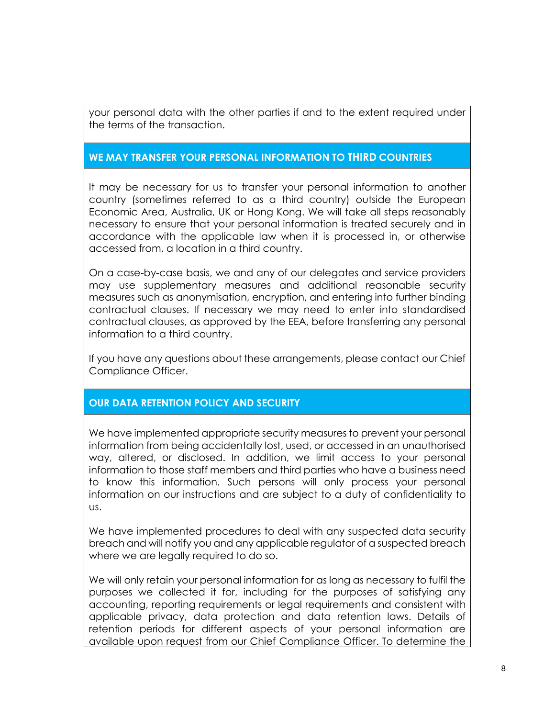your personal data with the other parties if and to the extent required under the terms of the transaction.

#### **WE MAY TRANSFER YOUR PERSONAL INFORMATION TO THIRD COUNTRIES**

It may be necessary for us to transfer your personal information to another country (sometimes referred to as a third country) outside the European Economic Area, Australia, UK or Hong Kong. We will take all steps reasonably necessary to ensure that your personal information is treated securely and in accordance with the applicable law when it is processed in, or otherwise accessed from, a location in a third country.

On a case-by-case basis, we and any of our delegates and service providers may use supplementary measures and additional reasonable security measures such as anonymisation, encryption, and entering into further binding contractual clauses. If necessary we may need to enter into standardised contractual clauses, as approved by the EEA, before transferring any personal information to a third country.

If you have any questions about these arrangements, please contact our Chief Compliance Officer.

#### **OUR DATA RETENTION POLICY AND SECURITY**

We have implemented appropriate security measures to prevent your personal information from being accidentally lost, used, or accessed in an unauthorised way, altered, or disclosed. In addition, we limit access to your personal information to those staff members and third parties who have a business need to know this information. Such persons will only process your personal information on our instructions and are subject to a duty of confidentiality to us.

We have implemented procedures to deal with any suspected data security breach and will notify you and any applicable regulator of a suspected breach where we are legally required to do so.

We will only retain your personal information for as long as necessary to fulfil the purposes we collected it for, including for the purposes of satisfying any accounting, reporting requirements or legal requirements and consistent with applicable privacy, data protection and data retention laws. Details of retention periods for different aspects of your personal information are available upon request from our Chief Compliance Officer. To determine the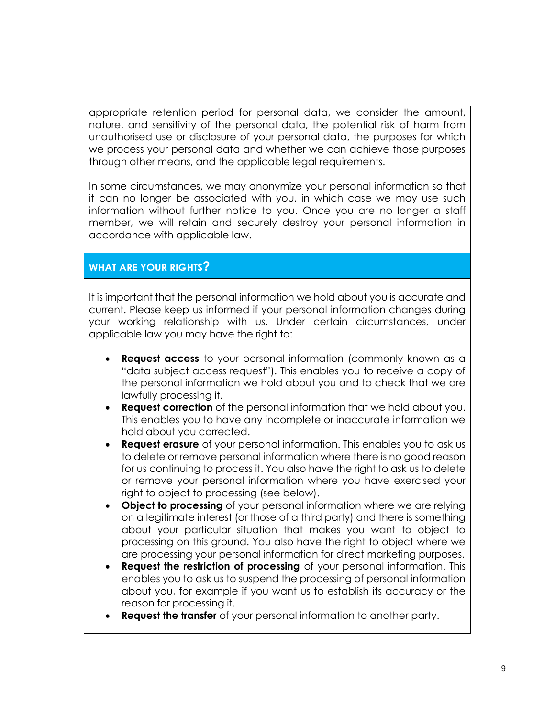appropriate retention period for personal data, we consider the amount, nature, and sensitivity of the personal data, the potential risk of harm from unauthorised use or disclosure of your personal data, the purposes for which we process your personal data and whether we can achieve those purposes through other means, and the applicable legal requirements.

In some circumstances, we may anonymize your personal information so that it can no longer be associated with you, in which case we may use such information without further notice to you. Once you are no longer a staff member, we will retain and securely destroy your personal information in accordance with applicable law.

# **WHAT ARE YOUR RIGHTS?**

It is important that the personal information we hold about you is accurate and current. Please keep us informed if your personal information changes during your working relationship with us. Under certain circumstances, under applicable law you may have the right to:

- **Request access** to your personal information (commonly known as a "data subject access request"). This enables you to receive a copy of the personal information we hold about you and to check that we are lawfully processing it.
- **Request correction** of the personal information that we hold about you. This enables you to have any incomplete or inaccurate information we hold about you corrected.
- **Request erasure** of your personal information. This enables you to ask us to delete or remove personal information where there is no good reason for us continuing to process it. You also have the right to ask us to delete or remove your personal information where you have exercised your right to object to processing (see below).
- **Object to processing** of your personal information where we are relying on a legitimate interest (or those of a third party) and there is something about your particular situation that makes you want to object to processing on this ground. You also have the right to object where we are processing your personal information for direct marketing purposes.
- **Request the restriction of processing** of your personal information. This enables you to ask us to suspend the processing of personal information about you, for example if you want us to establish its accuracy or the reason for processing it.
- **Request the transfer** of your personal information to another party.